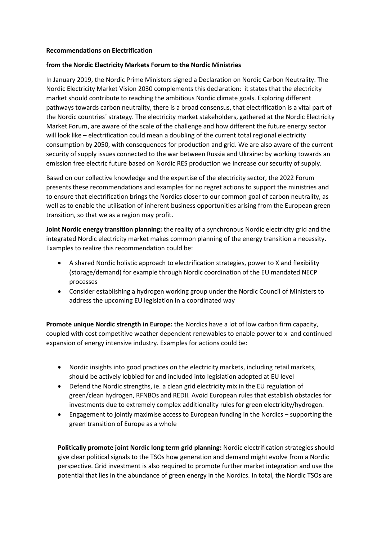## **Recommendations on Electrification**

## **from the Nordic Electricity Markets Forum to the Nordic Ministries**

In January 2019, the Nordic Prime Ministers signed a Declaration on Nordic Carbon Neutrality. The Nordic Electricity Market Vision 2030 complements this declaration: it states that the electricity market should contribute to reaching the ambitious Nordic climate goals. Exploring different pathways towards carbon neutrality, there is a broad consensus, that electrification is a vital part of the Nordic countries´ strategy. The electricity market stakeholders, gathered at the Nordic Electricity Market Forum, are aware of the scale of the challenge and how different the future energy sector will look like – electrification could mean a doubling of the current total regional electricity consumption by 2050, with consequences for production and grid. We are also aware of the current security of supply issues connected to the war between Russia and Ukraine: by working towards an emission free electric future based on Nordic RES production we increase our security of supply.

Based on our collective knowledge and the expertise of the electricity sector, the 2022 Forum presents these recommendations and examples for no regret actions to support the ministries and to ensure that electrification brings the Nordics closer to our common goal of carbon neutrality, as well as to enable the utilisation of inherent business opportunities arising from the European green transition, so that we as a region may profit.

**Joint Nordic energy transition planning:** the reality of a synchronous Nordic electricity grid and the integrated Nordic electricity market makes common planning of the energy transition a necessity. Examples to realize this recommendation could be:

- A shared Nordic holistic approach to electrification strategies, power to X and flexibility (storage/demand) for example through Nordic coordination of the EU mandated NECP processes
- Consider establishing a hydrogen working group under the Nordic Council of Ministers to address the upcoming EU legislation in a coordinated way

**Promote unique Nordic strength in Europe:** the Nordics have a lot of low carbon firm capacity, coupled with cost competitive weather dependent renewables to enable power to x and continued expansion of energy intensive industry. Examples for actions could be:

- Nordic insights into good practices on the electricity markets, including retail markets, should be actively lobbied for and included into legislation adopted at EU level
- Defend the Nordic strengths, ie. a clean grid electricity mix in the EU regulation of green/clean hydrogen, RFNBOs and REDII. Avoid European rules that establish obstacles for investments due to extremely complex additionality rules for green electricity/hydrogen.
- Engagement to jointly maximise access to European funding in the Nordics supporting the green transition of Europe as a whole

**Politically promote joint Nordic long term grid planning:** Nordic electrification strategies should give clear political signals to the TSOs how generation and demand might evolve from a Nordic perspective. Grid investment is also required to promote further market integration and use the potential that lies in the abundance of green energy in the Nordics. In total, the Nordic TSOs are